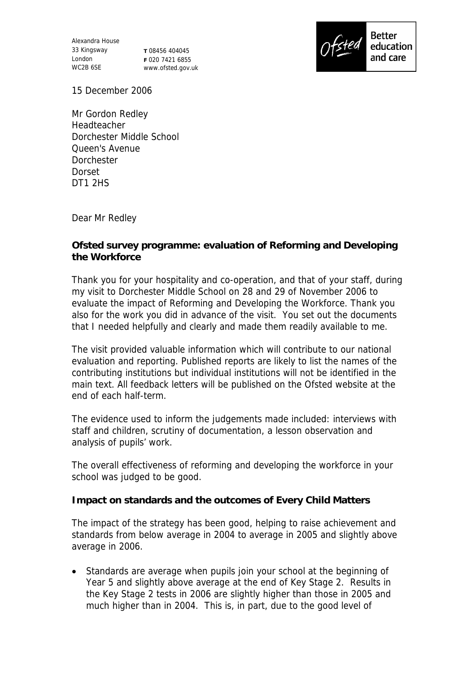Alexandra House 33 Kingsway London WC2B 6SE

**T** 08456 404045 **F** 020 7421 6855 www.ofsted.gov.uk



15 December 2006

Mr Gordon Redley Headteacher Dorchester Middle School Queen's Avenue Dorchester Dorset DT1 2HS

Dear Mr Redley

**Ofsted survey programme: evaluation of Reforming and Developing the Workforce**

Thank you for your hospitality and co-operation, and that of your staff, during my visit to Dorchester Middle School on 28 and 29 of November 2006 to evaluate the impact of Reforming and Developing the Workforce. Thank you also for the work you did in advance of the visit. You set out the documents that I needed helpfully and clearly and made them readily available to me.

The visit provided valuable information which will contribute to our national evaluation and reporting. Published reports are likely to list the names of the contributing institutions but individual institutions will not be identified in the main text. All feedback letters will be published on the Ofsted website at the end of each half-term.

The evidence used to inform the judgements made included: interviews with staff and children, scrutiny of documentation, a lesson observation and analysis of pupils' work.

The overall effectiveness of reforming and developing the workforce in your school was judged to be good.

**Impact on standards and the outcomes of Every Child Matters**

The impact of the strategy has been good, helping to raise achievement and standards from below average in 2004 to average in 2005 and slightly above average in 2006.

 Standards are average when pupils join your school at the beginning of Year 5 and slightly above average at the end of Key Stage 2. Results in the Key Stage 2 tests in 2006 are slightly higher than those in 2005 and much higher than in 2004. This is, in part, due to the good level of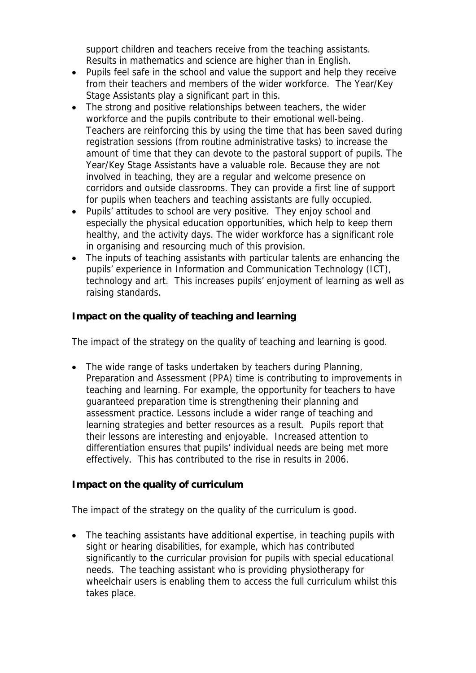support children and teachers receive from the teaching assistants. Results in mathematics and science are higher than in English.

- Pupils feel safe in the school and value the support and help they receive from their teachers and members of the wider workforce. The Year/Key Stage Assistants play a significant part in this.
- The strong and positive relationships between teachers, the wider workforce and the pupils contribute to their emotional well-being. Teachers are reinforcing this by using the time that has been saved during registration sessions (from routine administrative tasks) to increase the amount of time that they can devote to the pastoral support of pupils. The Year/Key Stage Assistants have a valuable role. Because they are not involved in teaching, they are a regular and welcome presence on corridors and outside classrooms. They can provide a first line of support for pupils when teachers and teaching assistants are fully occupied.
- Pupils' attitudes to school are very positive. They enjoy school and especially the physical education opportunities, which help to keep them healthy, and the activity days. The wider workforce has a significant role in organising and resourcing much of this provision.
- The inputs of teaching assistants with particular talents are enhancing the pupils' experience in Information and Communication Technology (ICT), technology and art. This increases pupils' enjoyment of learning as well as raising standards.

**Impact on the quality of teaching and learning**

The impact of the strategy on the quality of teaching and learning is good.

• The wide range of tasks undertaken by teachers during Planning, Preparation and Assessment (PPA) time is contributing to improvements in teaching and learning. For example, the opportunity for teachers to have guaranteed preparation time is strengthening their planning and assessment practice. Lessons include a wider range of teaching and learning strategies and better resources as a result. Pupils report that their lessons are interesting and enjoyable. Increased attention to differentiation ensures that pupils' individual needs are being met more effectively. This has contributed to the rise in results in 2006.

**Impact on the quality of curriculum**

The impact of the strategy on the quality of the curriculum is good.

• The teaching assistants have additional expertise, in teaching pupils with sight or hearing disabilities, for example, which has contributed significantly to the curricular provision for pupils with special educational needs. The teaching assistant who is providing physiotherapy for wheelchair users is enabling them to access the full curriculum whilst this takes place.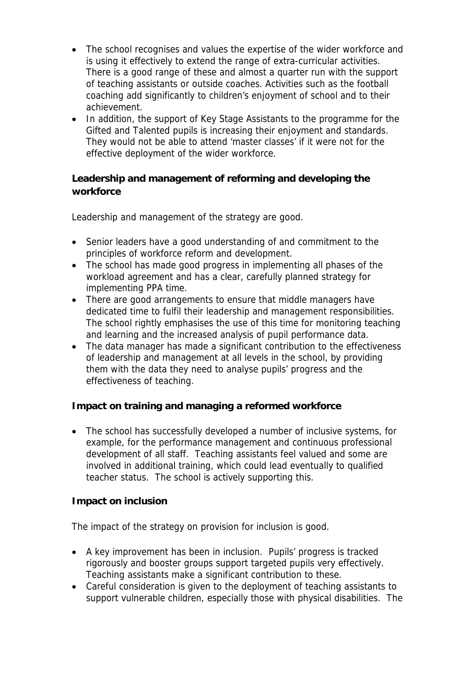- The school recognises and values the expertise of the wider workforce and is using it effectively to extend the range of extra-curricular activities. There is a good range of these and almost a quarter run with the support of teaching assistants or outside coaches. Activities such as the football coaching add significantly to children's enjoyment of school and to their achievement.
- In addition, the support of Key Stage Assistants to the programme for the Gifted and Talented pupils is increasing their enjoyment and standards. They would not be able to attend 'master classes' if it were not for the effective deployment of the wider workforce.

**Leadership and management of reforming and developing the workforce**

Leadership and management of the strategy are good.

- Senior leaders have a good understanding of and commitment to the principles of workforce reform and development.
- The school has made good progress in implementing all phases of the workload agreement and has a clear, carefully planned strategy for implementing PPA time.
- There are good arrangements to ensure that middle managers have dedicated time to fulfil their leadership and management responsibilities. The school rightly emphasises the use of this time for monitoring teaching and learning and the increased analysis of pupil performance data.
- The data manager has made a significant contribution to the effectiveness of leadership and management at all levels in the school, by providing them with the data they need to analyse pupils' progress and the effectiveness of teaching.

**Impact on training and managing a reformed workforce**

 The school has successfully developed a number of inclusive systems, for example, for the performance management and continuous professional development of all staff. Teaching assistants feel valued and some are involved in additional training, which could lead eventually to qualified teacher status. The school is actively supporting this.

## **Impact on inclusion**

The impact of the strategy on provision for inclusion is good.

- A key improvement has been in inclusion. Pupils' progress is tracked rigorously and booster groups support targeted pupils very effectively. Teaching assistants make a significant contribution to these.
- Careful consideration is given to the deployment of teaching assistants to support vulnerable children, especially those with physical disabilities. The